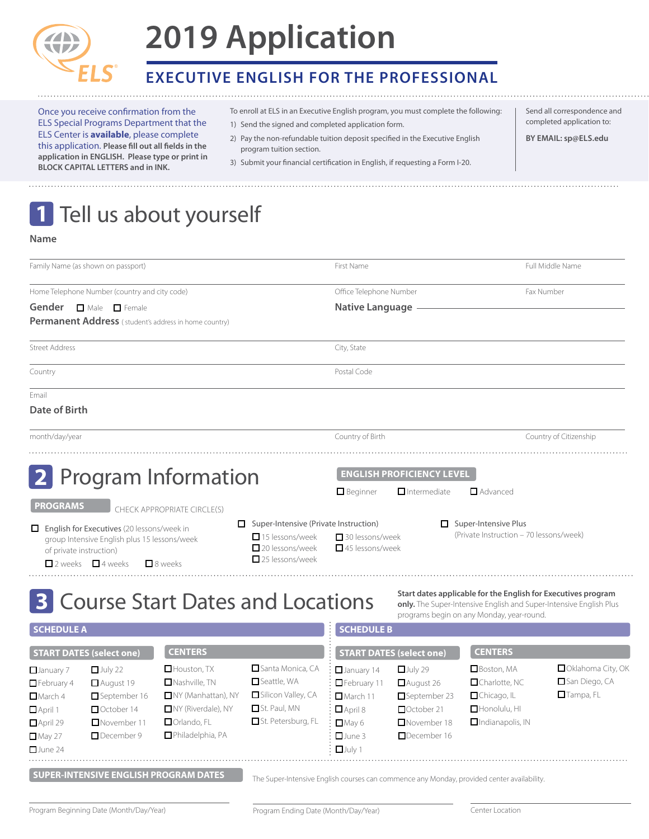

# **2019 Application**

### **executive english for the professional**

Once you receive confirmation from the ELS Special Programs Department that the ELS Center is **available**, please complete this application. **Please fill out all fields in the application in ENGLISH. Please type or print in BLOCK CAPITAL LETTERS and in INK.**

To enroll at ELS in an Executive English program, you must complete the following:

Send all correspondence and completed application to: **BY EMAIL: sp@els.edu**

- 1) Send the signed and completed application form.
- 2) Pay the non-refundable tuition deposit specified in the Executive English program tuition section.
- 3) Submit your financial certification in English, if requesting a Form I-20.

# 1 Tell us about yourself

#### **Name**

| Family Name (as shown on passport)                                                                                              |                                                                                                                                  |                                                                                                                                                    |                                                                                                                  | Full Middle Name<br>First Name                                                                                         |                                                                                                                                             |                                                                                                                                                                                  |                                                        |  |  |
|---------------------------------------------------------------------------------------------------------------------------------|----------------------------------------------------------------------------------------------------------------------------------|----------------------------------------------------------------------------------------------------------------------------------------------------|------------------------------------------------------------------------------------------------------------------|------------------------------------------------------------------------------------------------------------------------|---------------------------------------------------------------------------------------------------------------------------------------------|----------------------------------------------------------------------------------------------------------------------------------------------------------------------------------|--------------------------------------------------------|--|--|
| Home Telephone Number (country and city code)                                                                                   |                                                                                                                                  |                                                                                                                                                    | Office Telephone Number                                                                                          |                                                                                                                        |                                                                                                                                             | Fax Number                                                                                                                                                                       |                                                        |  |  |
| Gender<br>$\Box$ Male $\Box$ Female<br>Permanent Address (student's address in home country)                                    |                                                                                                                                  |                                                                                                                                                    |                                                                                                                  | <b>Native Language</b>                                                                                                 |                                                                                                                                             |                                                                                                                                                                                  |                                                        |  |  |
| <b>Street Address</b>                                                                                                           |                                                                                                                                  |                                                                                                                                                    |                                                                                                                  | City, State                                                                                                            |                                                                                                                                             |                                                                                                                                                                                  |                                                        |  |  |
| Country                                                                                                                         |                                                                                                                                  |                                                                                                                                                    |                                                                                                                  | Postal Code                                                                                                            |                                                                                                                                             |                                                                                                                                                                                  |                                                        |  |  |
| Fmail<br>Date of Birth                                                                                                          |                                                                                                                                  |                                                                                                                                                    |                                                                                                                  |                                                                                                                        |                                                                                                                                             |                                                                                                                                                                                  |                                                        |  |  |
| month/day/year                                                                                                                  |                                                                                                                                  |                                                                                                                                                    |                                                                                                                  | Country of Birth                                                                                                       |                                                                                                                                             |                                                                                                                                                                                  | Country of Citizenship                                 |  |  |
| <b>PROGRAMS</b><br>of private instruction)                                                                                      | English for Executives (20 lessons/week in<br>group Intensive English plus 15 lessons/week<br>$\Box$ 2 weeks $\Box$ 4 weeks      | 2 Program Information<br>CHECK APPROPRIATE CIRCLE(S)<br>$\Box$ 8 weeks                                                                             | Super-Intensive (Private Instruction)<br>$\Box$ 15 lessons/week<br>20 lessons/week<br>$\Box$ 25 lessons/week     | $\Box$ Beginner<br>□ 30 lessons/week<br>45 lessons/week                                                                | <b>ENGLISH PROFICIENCY LEVEL</b><br>$\Box$ Intermediate                                                                                     | $\Box$ Advanced<br>Super-Intensive Plus<br>(Private Instruction - 70 lessons/week)                                                                                               |                                                        |  |  |
|                                                                                                                                 |                                                                                                                                  | <b>3 Course Start Dates and Locations</b>                                                                                                          |                                                                                                                  |                                                                                                                        |                                                                                                                                             | Start dates applicable for the English for Executives program<br>only. The Super-Intensive English and Super-Intensive English Plus<br>programs begin on any Monday, year-round. |                                                        |  |  |
| <b>SCHEDULE A</b>                                                                                                               |                                                                                                                                  |                                                                                                                                                    |                                                                                                                  | <b>SCHEDULE B</b>                                                                                                      |                                                                                                                                             |                                                                                                                                                                                  |                                                        |  |  |
| $\Box$ January 7<br>$\Box$ February 4<br>$\Box$ March 4<br>$\Box$ April 1<br>$\Box$ April 29<br>$\Box$ May 27<br>$\Box$ June 24 | <b>START DATES (select one)</b><br>$\Box$ July 22<br>August 19<br>September 16<br>October 14<br>$\Box$ November 11<br>December 9 | <b>CENTERS</b><br>$\Box$ Houston, TX<br>$\Box$ Nashville, TN<br>NY (Manhattan), NY<br>NY (Riverdale), NY<br>$\Box$ Orlando, FL<br>Philadelphia, PA | Santa Monica, CA<br>$\Box$ Seattle, WA<br>Silicon Valley, CA<br>$\Box$ St. Paul, MN<br>$\Box$ St. Petersburg, FL | $\Box$ January 14<br>$\Box$ February 11<br>March11<br>$\Box$ April 8<br>$\Box$ May 6<br>$\Box$ June 3<br>$\Box$ July 1 | <b>START DATES (select one)</b><br>$_{\Box}$ July 29<br>August 26<br>September 23<br>October 21<br>$\Box$ November 18<br>$\Box$ December 16 | <b>CENTERS</b><br>$\Box$ Boston, MA<br>□Charlotte, NC<br>Chicago, IL<br>Honolulu, HI<br>Indianapolis, IN                                                                         | Oklahoma City, OK<br>San Diego, CA<br>$\Box$ Tampa, FL |  |  |

**SUPER-INTENSIVE ENGLISH PROGRAM DATES** The Super-Intensive English courses can commence any Monday, provided center availability.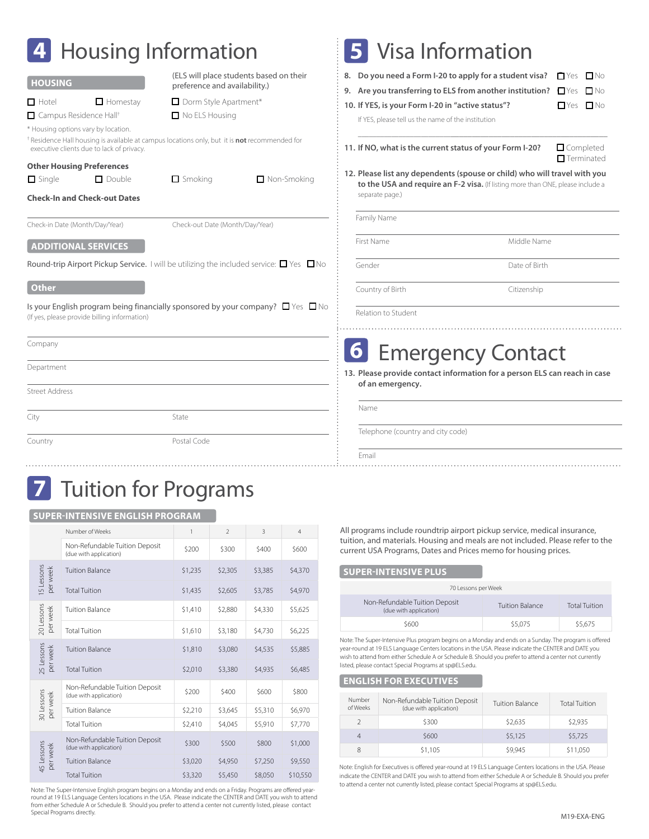| <b>Housing Information</b>                                                                                                                                                                                                                        |                                                                                                                                                                                                                                                                                                                              |  | <b>5</b> Visa Information                                                                                                                                                                                                                                                                                                                                                                                                                                                                                                                                                                              |               |  |  |
|---------------------------------------------------------------------------------------------------------------------------------------------------------------------------------------------------------------------------------------------------|------------------------------------------------------------------------------------------------------------------------------------------------------------------------------------------------------------------------------------------------------------------------------------------------------------------------------|--|--------------------------------------------------------------------------------------------------------------------------------------------------------------------------------------------------------------------------------------------------------------------------------------------------------------------------------------------------------------------------------------------------------------------------------------------------------------------------------------------------------------------------------------------------------------------------------------------------------|---------------|--|--|
| <b>HOUSING</b><br>$\Box$ Homestay<br>$\Box$ Hotel<br>Campus Residence Hall <sup>+</sup><br>* Housing options vary by location.<br>executive clients due to lack of privacy.<br><b>Other Housing Preferences</b><br>$\Box$ Single<br>$\Box$ Double | (ELS will place students based on their<br>preference and availability.)<br>Dorm Style Apartment*<br>$\Box$ No ELS Housing<br><sup>†</sup> Residence Hall housing is available at campus locations only, but it is <b>not</b> recommended for<br>$\Box$ Smoking<br>$\Box$ Non-Smoking<br><b>Check-In and Check-out Dates</b> |  | 8. Do you need a Form I-20 to apply for a student visa?<br>$\Box$ Yes $\Box$ No<br>9. Are you transferring to ELS from another institution?<br>$\Box$ Yes $\Box$ No<br>10. If YES, is your Form I-20 in "active status"?<br>$\Box$ Yes $\Box$ No<br>If YES, please tell us the name of the institution<br>11. If NO, what is the current status of your Form I-20?<br>$\Box$ Completed<br>$\blacksquare$ Terminated<br>12. Please list any dependents (spouse or child) who will travel with you<br>to the USA and require an F-2 visa. (If listing more than ONE, please include a<br>separate page.) |               |  |  |
| Check-in Date (Month/Day/Year)<br><b>ADDITIONAL SERVICES</b>                                                                                                                                                                                      | Check-out Date (Month/Day/Year)                                                                                                                                                                                                                                                                                              |  | Family Name<br>First Name                                                                                                                                                                                                                                                                                                                                                                                                                                                                                                                                                                              | Middle Name   |  |  |
| Round-trip Airport Pickup Service. I will be utilizing the included service: $\Box$ Yes: $\Box$ No                                                                                                                                                |                                                                                                                                                                                                                                                                                                                              |  | Gender                                                                                                                                                                                                                                                                                                                                                                                                                                                                                                                                                                                                 | Date of Birth |  |  |
| <b>Other</b><br>Is your English program being financially sponsored by your company? $\Box$ Yes $\Box$ No<br>(If yes, please provide billing information)                                                                                         |                                                                                                                                                                                                                                                                                                                              |  | Country of Birth<br>Relation to Student                                                                                                                                                                                                                                                                                                                                                                                                                                                                                                                                                                | Citizenship   |  |  |
| Company                                                                                                                                                                                                                                           |                                                                                                                                                                                                                                                                                                                              |  | <b>6</b> Emergency Contact                                                                                                                                                                                                                                                                                                                                                                                                                                                                                                                                                                             |               |  |  |
| Department                                                                                                                                                                                                                                        |                                                                                                                                                                                                                                                                                                                              |  | 13. Please provide contact information for a person ELS can reach in case                                                                                                                                                                                                                                                                                                                                                                                                                                                                                                                              |               |  |  |
| <b>Street Address</b>                                                                                                                                                                                                                             |                                                                                                                                                                                                                                                                                                                              |  | of an emergency.                                                                                                                                                                                                                                                                                                                                                                                                                                                                                                                                                                                       |               |  |  |
| City                                                                                                                                                                                                                                              | State                                                                                                                                                                                                                                                                                                                        |  | Name                                                                                                                                                                                                                                                                                                                                                                                                                                                                                                                                                                                                   |               |  |  |
| Country                                                                                                                                                                                                                                           | Postal Code                                                                                                                                                                                                                                                                                                                  |  | Telephone (country and city code)<br>Fmail                                                                                                                                                                                                                                                                                                                                                                                                                                                                                                                                                             |               |  |  |

## **7** Tuition for Programs

### **SUPER-INTENSIVE ENGLISH PROGRAM**

|                        | Number of Weeks                                          | 1       | $\overline{2}$ | $\overline{3}$                                                                                                                                                                                                     | $\overline{4}$ |
|------------------------|----------------------------------------------------------|---------|----------------|--------------------------------------------------------------------------------------------------------------------------------------------------------------------------------------------------------------------|----------------|
|                        | Non-Refundable Tuition Deposit<br>(due with application) | \$200   | \$300          | \$400                                                                                                                                                                                                              | \$600          |
| I5 Lessons<br>per week | Tuition Balance                                          | \$1,235 | \$2,305        | \$3,385                                                                                                                                                                                                            | \$4,370        |
|                        | <b>Total Tuition</b>                                     | \$1,435 | \$2,605        | \$3,785<br>\$4,970<br>\$4,330<br>\$5,625<br>\$6,225<br>\$4,730<br>\$4,535<br>\$5,885<br>\$4,935<br>\$6,485<br>\$600<br>\$800<br>\$5,310<br>\$6,970<br>\$5,910<br>\$7,770<br>\$800<br>\$1,000<br>\$7,250<br>\$9,550 |                |
| 20 Lessons<br>per week | Tuition Balance                                          | \$1,410 | \$2,880        |                                                                                                                                                                                                                    |                |
|                        | <b>Total Tuition</b><br>\$1,610                          |         | \$3,180        |                                                                                                                                                                                                                    |                |
| 25 Lessons<br>per week | <b>Tuition Balance</b>                                   | \$1,810 | \$3,080        |                                                                                                                                                                                                                    |                |
|                        | <b>Total Tuition</b>                                     | \$2,010 | \$3,380        |                                                                                                                                                                                                                    |                |
|                        | Non-Refundable Tuition Deposit<br>(due with application) | \$200   | \$400          |                                                                                                                                                                                                                    |                |
| 30 Lessons<br>per week | <b>Tuition Balance</b>                                   | \$2,210 | \$3,645        |                                                                                                                                                                                                                    |                |
|                        | <b>Total Tuition</b>                                     | \$2,410 | \$4,045        |                                                                                                                                                                                                                    |                |
|                        | Non-Refundable Tuition Deposit<br>(due with application) | \$300   | \$500          |                                                                                                                                                                                                                    |                |
| 45 Lessons<br>per week | <b>Tuition Balance</b>                                   | \$3,020 | \$4,950        |                                                                                                                                                                                                                    |                |
|                        | <b>Total Tuition</b>                                     | \$3,320 | \$5,450        | \$8,050                                                                                                                                                                                                            | \$10,550       |

Note: The Super-Intensive English program begins on a Monday and ends on a Friday. Programs are offered yearround at 19 ELS Language Centers locations in the USA. Please indicate the CENTER and DATE you wish to attend from either Schedule A or Schedule B. Should you prefer to attend a center not currently listed, please contact Special Programs directly.

All programs include roundtrip airport pickup service, medical insurance, tuition, and materials. Housing and meals are not included. Please refer to the current USA Programs, Dates and Prices memo for housing prices.

### **Super-INTENSIVE PLUS**

| 70 Lessons per Week                                      |                 |                      |  |  |  |  |
|----------------------------------------------------------|-----------------|----------------------|--|--|--|--|
| Non-Refundable Tuition Deposit<br>(due with application) | Tuition Balance | <b>Total Tuition</b> |  |  |  |  |
| \$600                                                    | \$5,075         | \$5,675              |  |  |  |  |

Note: The Super-Intensive Plus program begins on a Monday and ends on a Sunday. The program is offered year-round at 19 ELS Language Centers locations in the USA. Please indicate the CENTER and DATE you wish to attend from either Schedule A or Schedule B. Should you prefer to attend a center not currently listed, please contact Special Programs at sp@ELS.edu.

#### **eNGLISH FOR EXECUTIVES**

| Number<br>of Weeks | Non-Refundable Tuition Deposit<br>(due with application) | Tuition Balance | <b>Total Tuition</b> |
|--------------------|----------------------------------------------------------|-----------------|----------------------|
|                    | \$300                                                    | \$2,635         | \$2,935              |
| $\overline{4}$     | \$600                                                    | \$5,125         | \$5,725              |
| 8                  | \$1,105                                                  | \$9.945         | \$11,050             |

Note: English for Executives is offered year-round at 19 ELS Language Centers locations in the USA. Please indicate the CENTER and DATE you wish to attend from either Schedule A or Schedule B. Should you prefer to attend a center not currently listed, please contact Special Programs at sp@ELS.edu.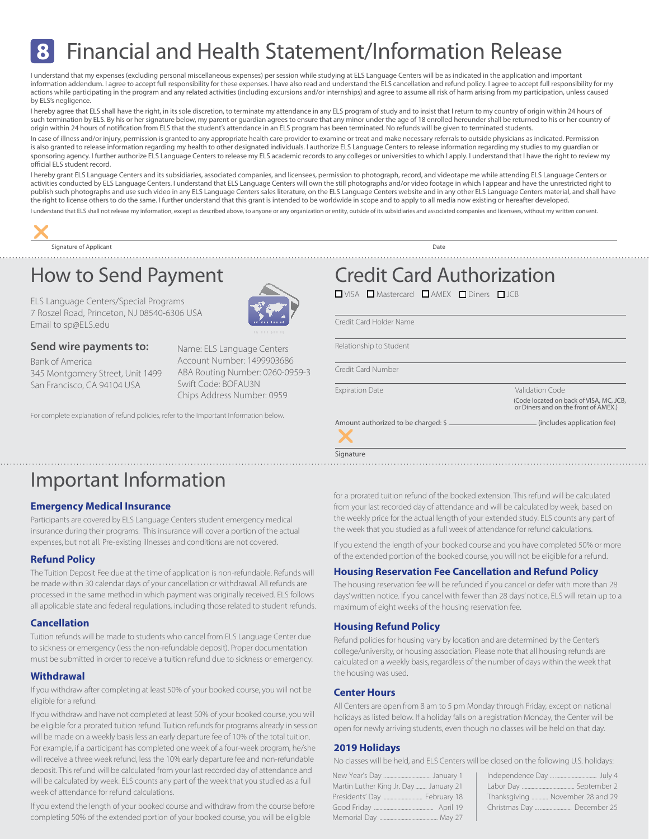### Financial and Health Statement/Information Release **8**

I understand that my expenses (excluding personal miscellaneous expenses) per session while studying at ELS Language Centers will be as indicated in the application and important information addendum. I agree to accept full responsibility for these expenses. I have also read and understand the ELS cancellation and refund policy. I agree to accept full responsibility for my actions while participating in the program and any related activities (including excursions and/or internships) and agree to assume all risk of harm arising from my participation, unless caused by ELS's negligence.

I hereby agree that ELS shall have the right, in its sole discretion, to terminate my attendance in any ELS program of study and to insist that I return to my country of origin within 24 hours of such termination by ELS. By his or her signature below, my parent or guardian agrees to ensure that any minor under the age of 18 enrolled hereunder shall be returned to his or her country of origin within 24 hours of notification from ELS that the student's attendance in an ELS program has been terminated. No refunds will be given to terminated students.

In case of illness and/or injury, permission is granted to any appropriate health care provider to examine or treat and make necessary referrals to outside physicians as indicated. Permission is also granted to release information regarding my health to other designated individuals. I authorize ELS Language Centers to release information regarding my studies to my guardian or sponsoring agency. I further authorize ELS Language Centers to release my ELS academic records to any colleges or universities to which I apply. I understand that I have the right to review my official ELS student record.

I hereby grant ELS Language Centers and its subsidiaries, associated companies, and licensees, permission to photograph, record, and videotape me while attending ELS Language Centers or activities conducted by ELS Language Centers. I understand that ELS Language Centers will own the still photographs and/or video footage in which I appear and have the unrestricted right to publish such photographs and use such video in any ELS Language Centers sales literature, on the ELS Language Centers website and in any other ELS Language Centers material, and shall have the right to license others to do the same. I further understand that this grant is intended to be worldwide in scope and to apply to all media now existing or hereafter developed.

I understand that ELS shall not release my information, except as described above, to anyone or any organization or entity, outside of its subsidiaries and associated companies and licensees, without my written consent.



Signature of Applicant Date of Applicant Date of Applicant Date of Applicant Date of Applicant Date of Applicant Date of Applicant Date of Applicant Date of Applicant Date of Applicant Date of Applicant Date of Applicant D

### How to Send Payment

ELS Language Centers/Special Programs 7 Roszel Road, Princeton, NJ 08540-6306 USA Email to sp@ELS.edu

# Email to sp@ELS.edu<br>**Send wire payments to:**

Bank of America 345 Montgomery Street, Unit 1499 San Francisco, CA 94104 USA



Name: ELS Language Centers Account Number: 1499903686 ABA Routing Number: 0260-0959-3 Swift Code: BOFAU3N Chips Address Number: 0959

For complete explanation of refund policies, refer to the Important Information below.

### Important Information

### **Emergency Medical Insurance**

Participants are covered by ELS Language Centers student emergency medical insurance during their programs. This insurance will cover a portion of the actual expenses, but not all. Pre-existing illnesses and conditions are not covered.

### **Refund Policy**

The Tuition Deposit Fee due at the time of application is non-refundable. Refunds will be made within 30 calendar days of your cancellation or withdrawal. All refunds are processed in the same method in which payment was originally received. ELS follows all applicable state and federal regulations, including those related to student refunds.

### **Cancellation**

Tuition refunds will be made to students who cancel from ELS Language Center due to sickness or emergency (less the non-refundable deposit). Proper documentation must be submitted in order to receive a tuition refund due to sickness or emergency.

### **Withdrawal**

If you withdraw after completing at least 50% of your booked course, you will not be eligible for a refund.

If you withdraw and have not completed at least 50% of your booked course, you will be eligible for a prorated tuition refund. Tuition refunds for programs already in session will be made on a weekly basis less an early departure fee of 10% of the total tuition. For example, if a participant has completed one week of a four-week program, he/she will receive a three week refund, less the 10% early departure fee and non-refundable deposit. This refund will be calculated from your last recorded day of attendance and will be calculated by week. ELS counts any part of the week that you studied as a full week of attendance for refund calculations.

If you extend the length of your booked course and withdraw from the course before completing 50% of the extended portion of your booked course, you will be eligible

Credit Card Authorization

**ONISA CONSTRUCTER IN A MEX CONTROL** 

Credit Card Holder Name

Relationship to Student

Credit Card Number

Signature

Expiration Date Validation Code (Code located on back of VISA, MC, JCB, or Diners and on the front of AMEX.)

Amount authorized to be charged: \$ (includes application fee) r

for a prorated tuition refund of the booked extension. This refund will be calculated from your last recorded day of attendance and will be calculated by week, based on the weekly price for the actual length of your extended study. ELS counts any part of the week that you studied as a full week of attendance for refund calculations.

If you extend the length of your booked course and you have completed 50% or more of the extended portion of the booked course, you will not be eligible for a refund.

### **Housing Reservation Fee Cancellation and Refund Policy**

The housing reservation fee will be refunded if you cancel or defer with more than 28 days' written notice. If you cancel with fewer than 28 days' notice, ELS will retain up to a maximum of eight weeks of the housing reservation fee.

### **Housing Refund Policy**

Refund policies for housing vary by location and are determined by the Center's college/university, or housing association. Please note that all housing refunds are calculated on a weekly basis, regardless of the number of days within the week that the housing was used.

### **Center Hours**

All Centers are open from 8 am to 5 pm Monday through Friday, except on national holidays as listed below. If a holiday falls on a registration Monday, the Center will be open for newly arriving students, even though no classes will be held on that day.

### **2019 Holidays**

No classes will be held, and ELS Centers will be closed on the following U.S. holidays:

| Martin Luther King Jr. Day  January 21 |          |
|----------------------------------------|----------|
| Presidents' Day  February 18           |          |
|                                        | April 19 |
|                                        |          |

| Thanksgiving  November 28 and 29 |
|----------------------------------|
| Christmas Day   December 25      |